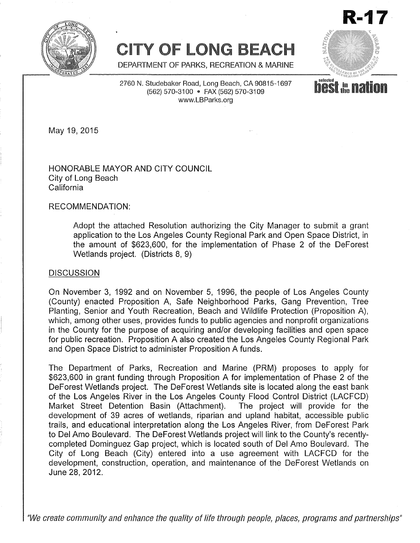

# **CITY OF LONG BEACH**

**R-17** i

**Selected**<br>**DOS** the

DEPARTMENT OF PARKS, RECREATION & MARINE

2760 N. Studebaker Road, Long Beach, CA 90815-1697 (562) 570-3100 · FAX (562) 570-3109 www.LBParks.org

May 19, 2015

HONORABLE MAYOR AND CITY COUNCIL City of Long Beach California

#### RECOMMENDATION:

Adopt the attached Resolution authorizing the City Manager to submit a grant application to the Los Angeles County Regional Park and Open Space District, in the amount of \$623,600, for the implementation of Phase 2 of the DeForest Wetlands project. (Districts 8, 9)

#### **DISCUSSION**

On November 3, 1992 and on November 5, 1996, the people of Los Angeles County (County) enacted Proposition A, Safe Neighborhood Parks, Gang Prevention, Tree Planting, Senior and Youth Recreation, Beach and Wildlife Protection (Proposition A), which, among other uses, provides funds to public agencies and nonprofit organizations in the County for the purpose of acquiring and/or developing facilities and open space for public recreation. Proposition A also created the Los Angeles County Regional Park and Open Space District to administer Proposition A funds.

The Department of Parks, Recreation and Marine (PRM) proposes to apply for \$623,600 in grant funding through Proposition A for implementation of Phase 2 of the DeForest Wetlands project. The DeForest Wetlands site is located along the east bank of the Los Angeles River in the Los Angeles County Flood Control District (LACFCD) Market Street Detention Basin (Attachment). The project will provide for the development of 39 acres of wetlands, riparian and upland habitat, accessible public trails, and educational interpretation along the Los Angeles River, from DeForest Park to Del Amo Boulevard. The DeForest Wetlands project will link to the County's recentlycompleted Dominguez Gap project, which is located south of Del Amo Boulevard. The City of Long Beach (City) entered into a use agreement with LACFCD for the development, construction, operation, and maintenance of the DeForest Wetlands on June 28,2012.

*IIWecreate community and enhance the quality of life through people, places, programs and partnerships II*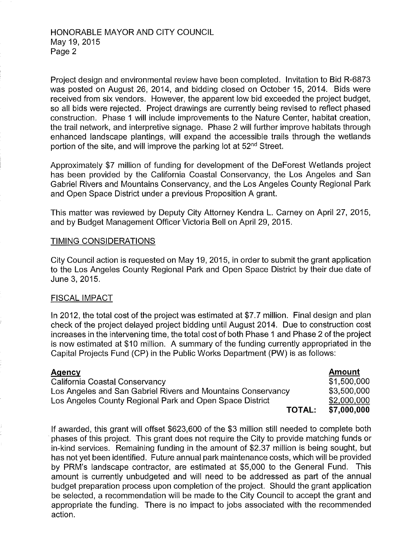Project design and environmental review have been completed. Invitation to Bid R-6873 was posted on August 26, 2014, and bidding closed on October 15, 2014. Bids were received from six vendors. However, the apparent low bid exceeded the project budget, so all bids were rejected. Project drawings are currently being revised to reflect phased construction. Phase 1 will include improvements to the Nature Center, habitat creation, the trail network, and interpretive signage. Phase 2 will further improve habitats through enhanced landscape plantings, will expand the accessible trails through the wetlands portion of the site, and will improve the parking lot at 52nd Street.

Approximately \$7 million of funding for development of the DeForest Wetlands project has been provided by the California Coastal Conservancy, the Los Angeles and San Gabriel Rivers and Mountains Conservancy, and the Los Angeles County Regional Park and Open Space District under a previous Proposition A grant.

This matter was reviewed by Deputy City Attorney Kendra L. Carney on April 27, 2015, and by Budget Management Officer Victoria Bell on April 29, 2015.

### TIMING CONSIDERATIONS

City Council action is requested on May 19, 2015, in order to submit the grant application to the Los Angeles County Regional Park and Open Space District by their due date of June 3, 2015.

### FISCAL IMPACT

In 2012, the total cost of the project was estimated at \$7.7 million. Final design and plan check of the project delayed project bidding until August 2014. Due to construction cost increases in the intervening time, the total cost of both Phase 1 and Phase 2 of the project is now estimated at \$10 million. A summary of the funding currently appropriated in the Capital Projects Fund (CP) in the Public Works Department (PW) is as follows:

| Agency                                                       | Amount      |
|--------------------------------------------------------------|-------------|
| California Coastal Conservancy                               | \$1,500,000 |
| Los Angeles and San Gabriel Rivers and Mountains Conservancy | \$3,500,000 |
| Los Angeles County Regional Park and Open Space District     | \$2,000,000 |
| <b>TOTAL:</b>                                                | \$7,000,000 |

If awarded, this grant will offset \$623,600 of the \$3 million still needed to complete both . phases of this project. This grant does not require the City to provide matching funds or in-kind services. Remaining funding in the amount of \$2.37 million is being sought, but has not yet been identified. Future annual park maintenance costs, which will be provided by PRM's landscape contractor, are estimated at \$5,000 to the General Fund. This amount is currently unbudgeted and will need to be addressed as part of the annual budget preparation process upon completion of the project. Should the grant application be selected, a recommendation will be made to the City Council to accept the grant and appropriate the funding. There is no impact to jobs associated with the recommended action.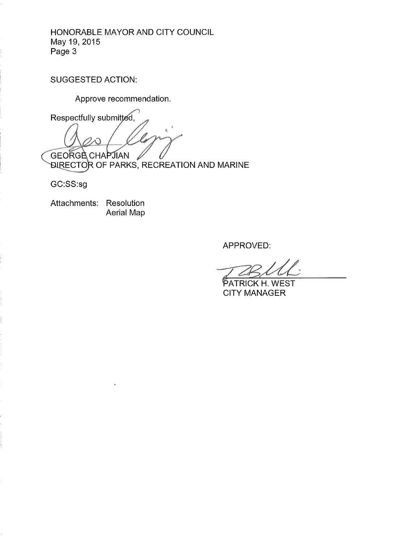## HONORABLE MAYOR AND CITY COUNCIL May 19,2015 Page 3

SUGGESTED ACTION:

Approve recommendation.

Respectfully submitted,  $\widehat{\left\langle \right. }%$ **GEORGE CHAPJIAN** 

DIRECTOR OF PARKS, RECREATION AND MARINE

GC:SS:sg

Attachments: Resolution Aerial Map

APPROVED:

PATRICK H. WEST CITY MANAGER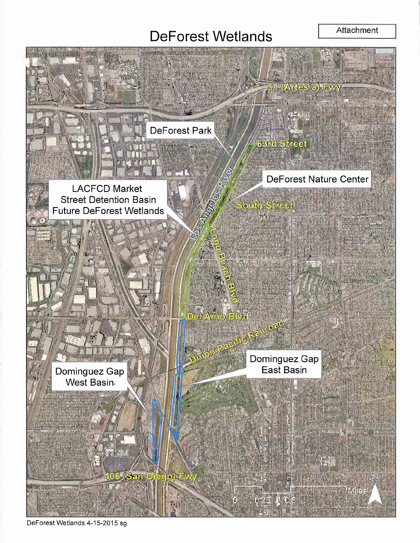# **DeForest Wetlands**

#### Attachment



DeForest Wetlands 4-15-2015 sg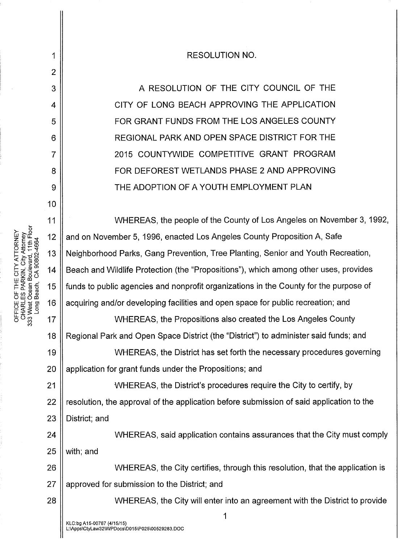**RESOLUTION NO.** 

A RESOLUTION OF THE CITY COUNCIL OF THE CITY OF LONG BEACH APPROVING THE APPLICATION FOR GRANT FUNDS FROM THE LOS ANGELES COUNTY REGIONAL PARK AND OPEN SPACE DISTRICT FOR THE 2015 COUNTYWIDE COMPETITIVE GRANT PROGRAM FOR DEFOREST WETLANDS PHASE 2 AND APPROVING THE ADOPTION OF A YOUTH EMPLOYMENT PLAN

WHEREAS, the people of the County of Los Angeles on November 3, 1992, 11  $12$ and on November 5, 1996, enacted Los Angeles County Proposition A, Safe Neighborhood Parks, Gang Prevention, Tree Planting, Senior and Youth Recreation, 13 Beach and Wildlife Protection (the "Propositions"), which among other uses, provides  $14$ funds to public agencies and nonprofit organizations in the County for the purpose of 15 acquiring and/or developing facilities and open space for public recreation; and 16 17 WHEREAS, the Propositions also created the Los Angeles County Regional Park and Open Space District (the "District") to administer said funds; and 18 19 WHEREAS, the District has set forth the necessary procedures governing 20 application for grant funds under the Propositions; and WHEREAS, the District's procedures require the City to certify, by  $21$ resolution, the approval of the application before submission of said application to the 22 District; and 23 WHEREAS, said application contains assurances that the City must comply 24 with; and 25 26 WHEREAS, the City certifies, through this resolution, that the application is 27 approved for submission to the District; and

WHEREAS, the City will enter into an agreement with the District to provide

1

OFFICE OF THE CITY ATTORNEY<br>CHARLES PARKIN, City Attorney<br>333 West Ocean Boulevard, 11th Floor Long Beach, CA 90802-4664 1

 $\overline{2}$ 

3

4

5

6

 $\overline{7}$ 

8

9

10

28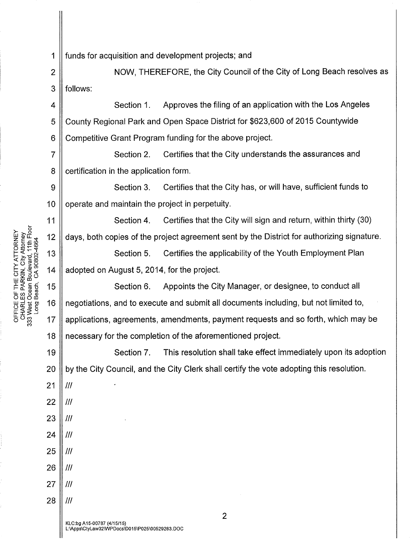1 funds for acquisition and development projects; and

2 || NOW, THEREFORE, the City Council of the City of Long Beach resolves as 3 ll follows:

5 6 4 || Section 1. Approves the filing of an application with the Los Angeles County Regional Park and Open Space District for \$623,600 of 2015 Countywide Competitive Grant Program funding for the above project.

7 8 Section 2. Certifies that the City understands the assurances and certification in the application form.

9 10 Section 3. Certifies that the City has, or will have, sufficient funds to operate and maintain the project in perpetuity.

Section 4. Certifies that the City will sign and return, within thirty (30) days, both copies of the project agreement sent by the District for authorizing signature.

NEY<br>
ATTORNE<br> *A*TT 4 FL<sub>OOT</sub><br>
and 13<br>
8802466<br>
3802466<br>
302466 Section 5. Certifies the applicability of the Youth Employment Plan adopted on August 5,2014, for the project.

~o>o\_ Q)en -z:;« 14 05200 wo:::co :r:«c:.c 1-0... III 0 15 !LU)~m Owoco W~1ilO: <sup>16</sup> ~«Q)§ !L:r:s.....! !LoC') <sup>o</sup> C') <sup>17</sup> C') 18 Section 6. Appoints the City Manager, or designee, to conduct all negotiations, and to execute and submit all documents including, but not limited to, applications, agreements, amendments, payment requests and so forth, which may be necessary for the completion of the aforementioned project.

19 20 Section 7. This resolution shall take effect immediately upon its adoption by the City Council, and the City Clerk shall certify the vote adopting this resolution.

21 /1/ 22  $||$  ///

11

- $23$  ||  $\textit{III}$
- 24  $\parallel$  /// 25 *III*
- 26 *III*
- 27 ||  $III$
- 28 *III*

2